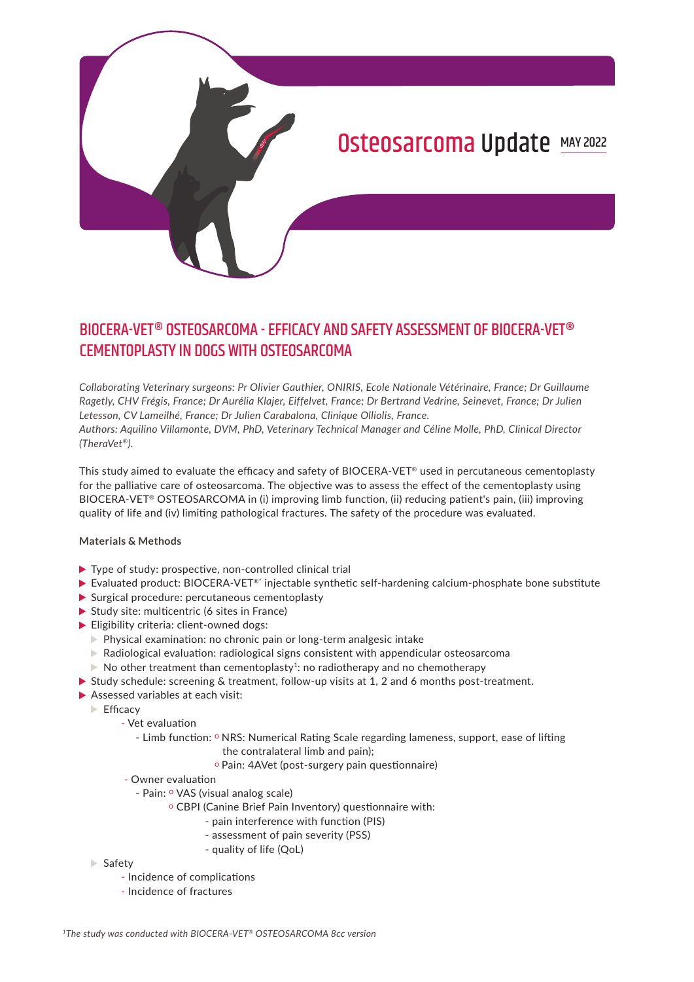

# BIOCERA-VET® OSTEOSARCOMA - EFFICACY AND SAFETY ASSESSMENT OF BIOCERA-VET® CEMENTOPLASTY IN DOGS WITH OSTEOSARCOMA

*Collaborating Veterinary surgeons: Pr Olivier Gauthier, ONIRIS, Ecole Nationale Vétérinaire, France; Dr Guillaume Ragetly, CHV Frégis, France; Dr Aurélia Klajer, Eiffelvet, France; Dr Bertrand Vedrine, Seinevet, France; Dr Julien Letesson, CV Lameilhé, France; Dr Julien Carabalona, Clinique Olliolis, France. Authors: Aquilino Villamonte, DVM, PhD, Veterinary Technical Manager and Céline Molle, PhD, Clinical Director (TheraVet®).* 

This study aimed to evaluate the efficacy and safety of BIOCERA-VET® used in percutaneous cementoplasty for the palliative care of osteosarcoma. The objective was to assess the effect of the cementoplasty using BIOCERA-VET® OSTEOSARCOMA in (i) improving limb function, (ii) reducing patient's pain, (iii) improving quality of life and (iv) limiting pathological fractures. The safety of the procedure was evaluated.

#### **Materials & Methods**

- ▶ Type of study: prospective, non-controlled clinical trial
- ▶ Evaluated product: BIOCERA-VET<sup>®</sup>\* injectable synthetic self-hardening calcium-phosphate bone substitute
- Surgical procedure: percutaneous cementoplasty
- $\triangleright$  Study site: multicentric (6 sites in France)
- Eligibility criteria: client-owned dogs:
	- Physical examination: no chronic pain or long-term analgesic intake
	- $\triangleright$  Radiological evaluation: radiological signs consistent with appendicular osteosarcoma
	- $\triangleright$  No other treatment than cementoplasty<sup>1</sup>: no radiotherapy and no chemotherapy
- Study schedule: screening  $&$  treatment, follow-up visits at 1, 2 and 6 months post-treatment.
- Assessed variables at each visit:
	- $\blacktriangleright$  Ffficacy
		- Vet evaluation
			- Limb function: o NRS: Numerical Rating Scale regarding lameness, support, ease of lifting
				- the contralateral limb and pain);
				- o Pain: 4AVet (post-surgery pain questionnaire)
		- Owner evaluation
			- Pain: <sup>o</sup> VAS (visual analog scale)
				- o CBPI (Canine Brief Pain Inventory) questionnaire with:
					- pain interference with function (PIS)
					- assessment of pain severity (PSS)
					- quality of life (QoL)
	- $\blacktriangleright$  Safety
		- Incidence of complications
		- Incidence of fractures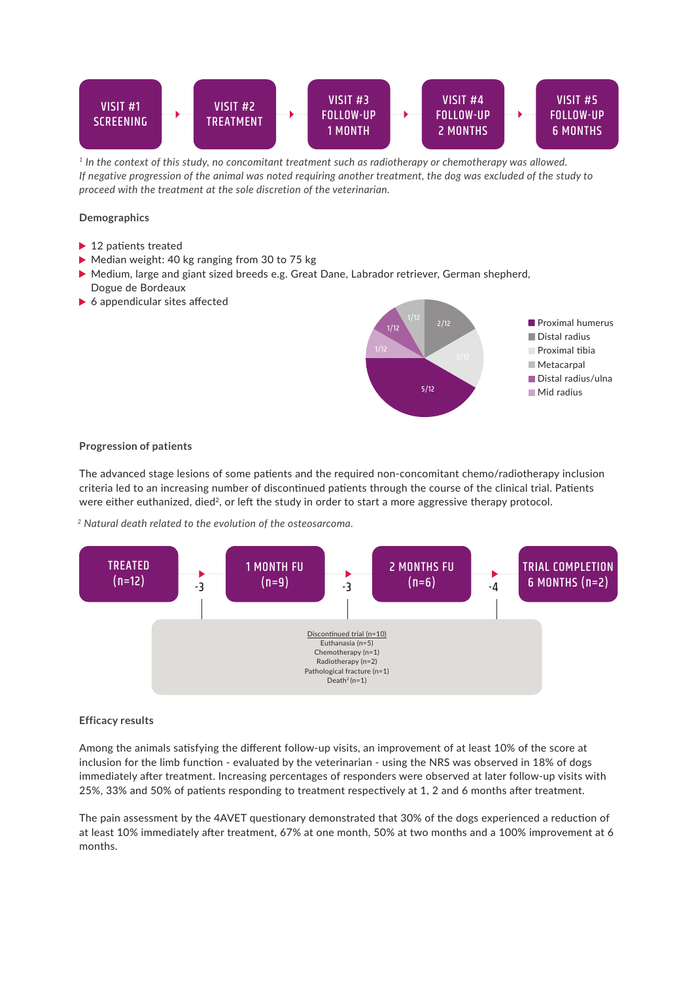

*1 In the context of this study, no concomitant treatment such as radiotherapy or chemotherapy was allowed. If negative progression of the animal was noted requiring another treatment, the dog was excluded of the study to proceed with the treatment at the sole discretion of the veterinarian.* 

### **Demographics**

- ▶ 12 patients treated
- Median weight: 40 kg ranging from 30 to 75 kg
- Medium, large and giant sized breeds e.g. Great Dane, Labrador retriever, German shepherd, Dogue de Bordeaux
- ▶ 6 appendicular sites affected



#### **Progression of patients**

The advanced stage lesions of some patients and the required non-concomitant chemo/radiotherapy inclusion criteria led to an increasing number of discontinued patients through the course of the clinical trial. Patients were either euthanized, died<sup>2</sup>, or left the study in order to start a more aggressive therapy protocol.

*2 Natural death related to the evolution of the osteosarcoma.* 



#### **Efficacy results**

Among the animals satisfying the different follow-up visits, an improvement of at least 10% of the score at inclusion for the limb function - evaluated by the veterinarian - using the NRS was observed in 18% of dogs immediately after treatment. Increasing percentages of responders were observed at later follow-up visits with 25%, 33% and 50% of patients responding to treatment respectively at 1, 2 and 6 months after treatment.

The pain assessment by the 4AVET questionary demonstrated that 30% of the dogs experienced a reduction of at least 10% immediately after treatment, 67% at one month, 50% at two months and a 100% improvement at 6 months.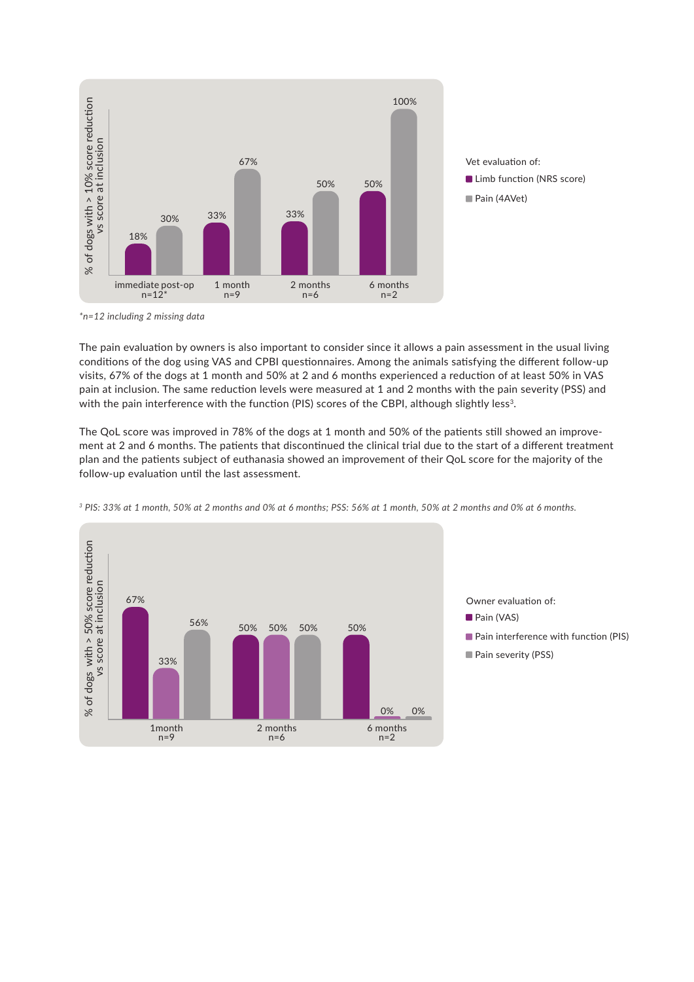

*\*n=12 including 2 missing data*

The pain evaluation by owners is also important to consider since it allows a pain assessment in the usual living conditions of the dog using VAS and CPBI questionnaires. Among the animals satisfying the different follow-up visits, 67% of the dogs at 1 month and 50% at 2 and 6 months experienced a reduction of at least 50% in VAS pain at inclusion. The same reduction levels were measured at 1 and 2 months with the pain severity (PSS) and with the pain interference with the function (PIS) scores of the CBPI, although slightly less<sup>3</sup>.

The QoL score was improved in 78% of the dogs at 1 month and 50% of the patients still showed an improvement at 2 and 6 months. The patients that discontinued the clinical trial due to the start of a different treatment plan and the patients subject of euthanasia showed an improvement of their QoL score for the majority of the follow-up evaluation until the last assessment.



*3 PIS: 33% at 1 month, 50% at 2 months and 0% at 6 months; PSS: 56% at 1 month, 50% at 2 months and 0% at 6 months.*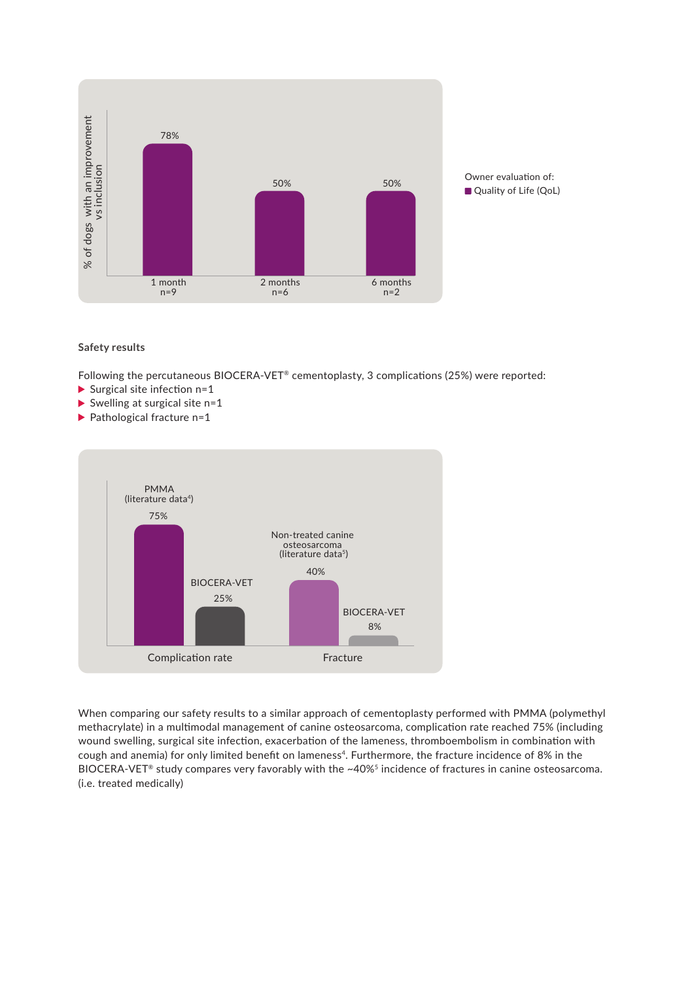

#### **Safety results**

Following the percutaneous BIOCERA-VET® cementoplasty, 3 complications (25%) were reported:

- Surgical site infection  $n=1$
- Swelling at surgical site  $n=1$
- $\blacktriangleright$  Pathological fracture n=1



When comparing our safety results to a similar approach of cementoplasty performed with PMMA (polymethyl methacrylate) in a multimodal management of canine osteosarcoma, complication rate reached 75% (including wound swelling, surgical site infection, exacerbation of the lameness, thromboembolism in combination with cough and anemia) for only limited benefit on lameness<sup>4</sup>. Furthermore, the fracture incidence of 8% in the BIOCERA-VET® study compares very favorably with the ~40%<sup>5</sup> incidence of fractures in canine osteosarcoma. (i.e. treated medically)